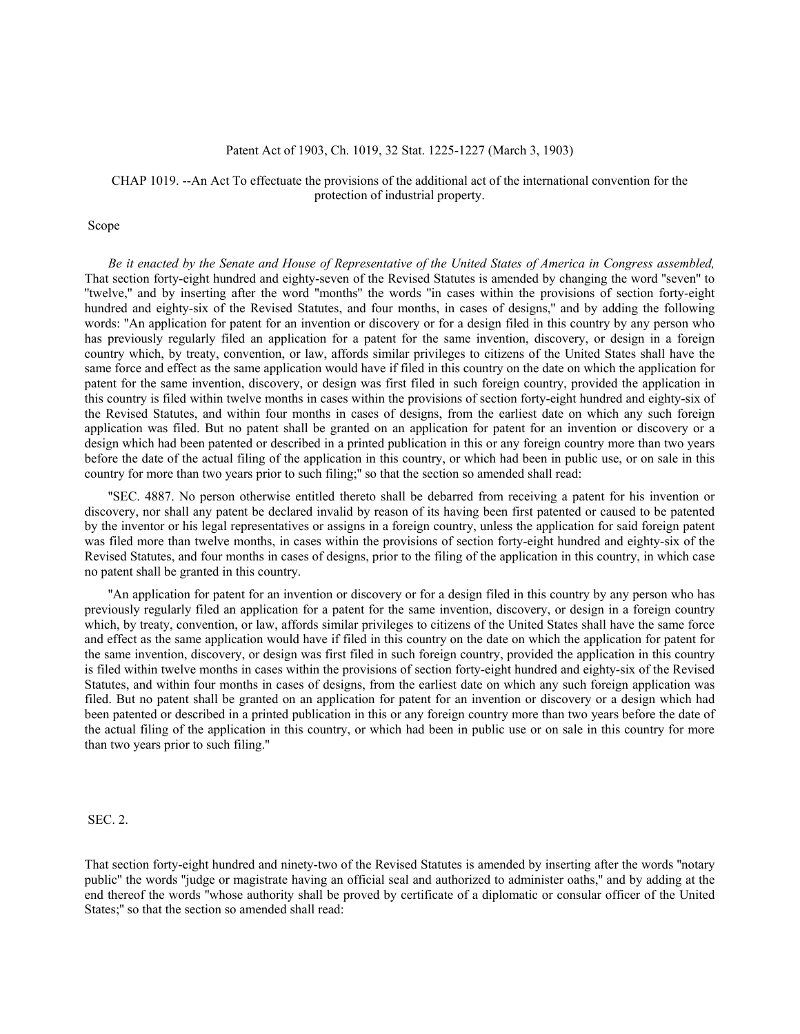#### Patent Act of 1903, Ch. 1019, 32 Stat. 1225-1227 (March 3, 1903)

### CHAP 1019. --An Act To effectuate the provisions of the additional act of the international convention for the protection of industrial property.

## Scope

*Be it enacted by the Senate and House of Representative of the United States of America in Congress assembled,* That section forty-eight hundred and eighty-seven of the Revised Statutes is amended by changing the word ''seven'' to ''twelve,'' and by inserting after the word ''months'' the words ''in cases within the provisions of section forty-eight hundred and eighty-six of the Revised Statutes, and four months, in cases of designs," and by adding the following words: ''An application for patent for an invention or discovery or for a design filed in this country by any person who has previously regularly filed an application for a patent for the same invention, discovery, or design in a foreign country which, by treaty, convention, or law, affords similar privileges to citizens of the United States shall have the same force and effect as the same application would have if filed in this country on the date on which the application for patent for the same invention, discovery, or design was first filed in such foreign country, provided the application in this country is filed within twelve months in cases within the provisions of section forty-eight hundred and eighty-six of the Revised Statutes, and within four months in cases of designs, from the earliest date on which any such foreign application was filed. But no patent shall be granted on an application for patent for an invention or discovery or a design which had been patented or described in a printed publication in this or any foreign country more than two years before the date of the actual filing of the application in this country, or which had been in public use, or on sale in this country for more than two years prior to such filing;'' so that the section so amended shall read:

''SEC. 4887. No person otherwise entitled thereto shall be debarred from receiving a patent for his invention or discovery, nor shall any patent be declared invalid by reason of its having been first patented or caused to be patented by the inventor or his legal representatives or assigns in a foreign country, unless the application for said foreign patent was filed more than twelve months, in cases within the provisions of section forty-eight hundred and eighty-six of the Revised Statutes, and four months in cases of designs, prior to the filing of the application in this country, in which case no patent shall be granted in this country.

''An application for patent for an invention or discovery or for a design filed in this country by any person who has previously regularly filed an application for a patent for the same invention, discovery, or design in a foreign country which, by treaty, convention, or law, affords similar privileges to citizens of the United States shall have the same force and effect as the same application would have if filed in this country on the date on which the application for patent for the same invention, discovery, or design was first filed in such foreign country, provided the application in this country is filed within twelve months in cases within the provisions of section forty-eight hundred and eighty-six of the Revised Statutes, and within four months in cases of designs, from the earliest date on which any such foreign application was filed. But no patent shall be granted on an application for patent for an invention or discovery or a design which had been patented or described in a printed publication in this or any foreign country more than two years before the date of the actual filing of the application in this country, or which had been in public use or on sale in this country for more than two years prior to such filing.''

#### SEC. 2.

That section forty-eight hundred and ninety-two of the Revised Statutes is amended by inserting after the words ''notary public'' the words ''judge or magistrate having an official seal and authorized to administer oaths,'' and by adding at the end thereof the words ''whose authority shall be proved by certificate of a diplomatic or consular officer of the United States;'' so that the section so amended shall read: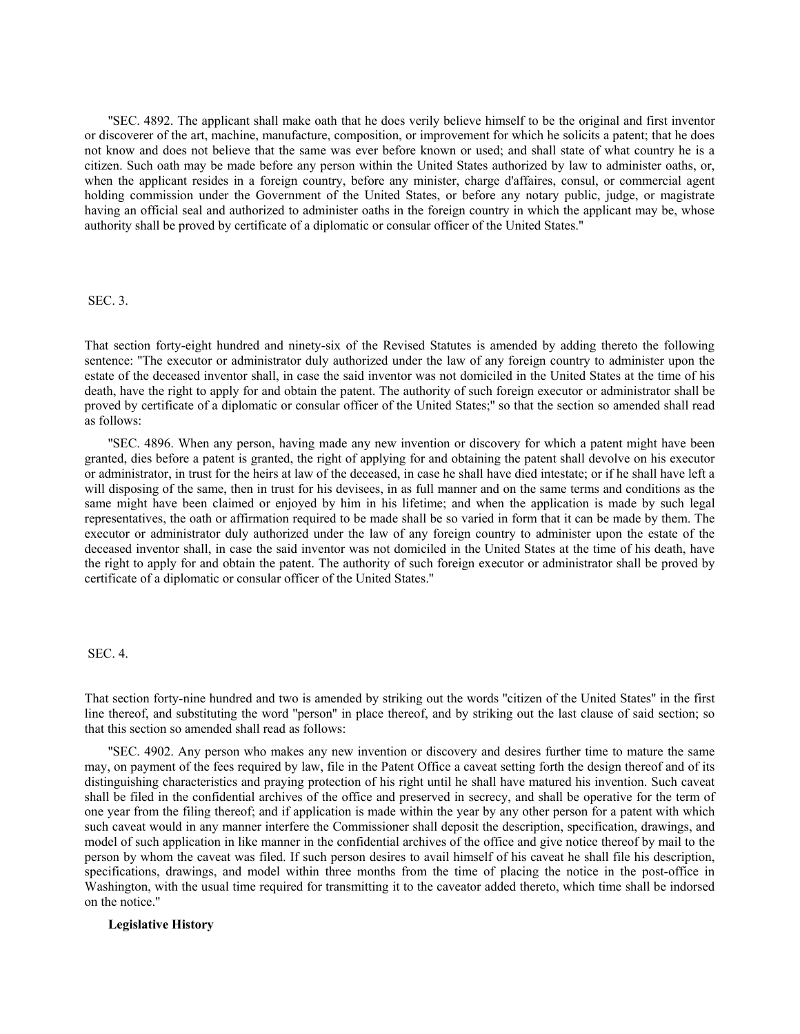''SEC. 4892. The applicant shall make oath that he does verily believe himself to be the original and first inventor or discoverer of the art, machine, manufacture, composition, or improvement for which he solicits a patent; that he does not know and does not believe that the same was ever before known or used; and shall state of what country he is a citizen. Such oath may be made before any person within the United States authorized by law to administer oaths, or, when the applicant resides in a foreign country, before any minister, charge d'affaires, consul, or commercial agent holding commission under the Government of the United States, or before any notary public, judge, or magistrate having an official seal and authorized to administer oaths in the foreign country in which the applicant may be, whose authority shall be proved by certificate of a diplomatic or consular officer of the United States.''

#### SEC. 3.

That section forty-eight hundred and ninety-six of the Revised Statutes is amended by adding thereto the following sentence: "The executor or administrator duly authorized under the law of any foreign country to administer upon the estate of the deceased inventor shall, in case the said inventor was not domiciled in the United States at the time of his death, have the right to apply for and obtain the patent. The authority of such foreign executor or administrator shall be proved by certificate of a diplomatic or consular officer of the United States;'' so that the section so amended shall read as follows:

''SEC. 4896. When any person, having made any new invention or discovery for which a patent might have been granted, dies before a patent is granted, the right of applying for and obtaining the patent shall devolve on his executor or administrator, in trust for the heirs at law of the deceased, in case he shall have died intestate; or if he shall have left a will disposing of the same, then in trust for his devisees, in as full manner and on the same terms and conditions as the same might have been claimed or enjoyed by him in his lifetime; and when the application is made by such legal representatives, the oath or affirmation required to be made shall be so varied in form that it can be made by them. The executor or administrator duly authorized under the law of any foreign country to administer upon the estate of the deceased inventor shall, in case the said inventor was not domiciled in the United States at the time of his death, have the right to apply for and obtain the patent. The authority of such foreign executor or administrator shall be proved by certificate of a diplomatic or consular officer of the United States.''

## SEC. 4.

That section forty-nine hundred and two is amended by striking out the words ''citizen of the United States'' in the first line thereof, and substituting the word ''person'' in place thereof, and by striking out the last clause of said section; so that this section so amended shall read as follows:

''SEC. 4902. Any person who makes any new invention or discovery and desires further time to mature the same may, on payment of the fees required by law, file in the Patent Office a caveat setting forth the design thereof and of its distinguishing characteristics and praying protection of his right until he shall have matured his invention. Such caveat shall be filed in the confidential archives of the office and preserved in secrecy, and shall be operative for the term of one year from the filing thereof; and if application is made within the year by any other person for a patent with which such caveat would in any manner interfere the Commissioner shall deposit the description, specification, drawings, and model of such application in like manner in the confidential archives of the office and give notice thereof by mail to the person by whom the caveat was filed. If such person desires to avail himself of his caveat he shall file his description, specifications, drawings, and model within three months from the time of placing the notice in the post-office in Washington, with the usual time required for transmitting it to the caveator added thereto, which time shall be indorsed on the notice.''

# **Legislative History**